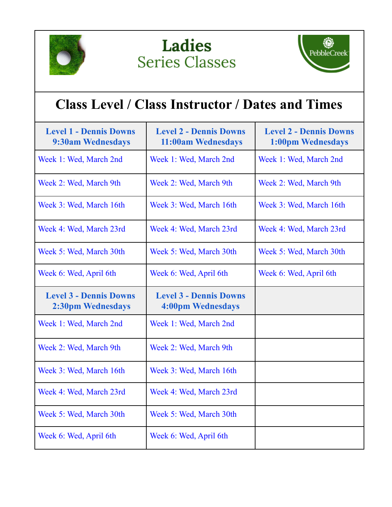





## **Class Level / Class Instructor / Dates and Times**

| <b>Level 1 - Dennis Downs</b><br>9:30am Wednesdays | <b>Level 2 - Dennis Downs</b><br>11:00am Wednesdays | <b>Level 2 - Dennis Downs</b><br>1:00pm Wednesdays |
|----------------------------------------------------|-----------------------------------------------------|----------------------------------------------------|
| Week 1: Wed, March 2nd                             | Week 1: Wed, March 2nd                              | Week 1: Wed, March 2nd                             |
| Week 2: Wed, March 9th                             | Week 2: Wed, March 9th                              | Week 2: Wed, March 9th                             |
| Week 3: Wed, March 16th                            | Week 3: Wed, March 16th                             | Week 3: Wed, March 16th                            |
| Week 4: Wed, March 23rd                            | Week 4: Wed, March 23rd                             | Week 4: Wed, March 23rd                            |
| Week 5: Wed, March 30th                            | Week 5: Wed, March 30th                             | Week 5: Wed, March 30th                            |
| Week 6: Wed, April 6th                             | Week 6: Wed, April 6th                              | Week 6: Wed, April 6th                             |
|                                                    |                                                     |                                                    |
| <b>Level 3 - Dennis Downs</b><br>2:30pm Wednesdays | <b>Level 3 - Dennis Downs</b><br>4:00pm Wednesdays  |                                                    |
| Week 1: Wed, March 2nd                             | Week 1: Wed, March 2nd                              |                                                    |
| Week 2: Wed, March 9th                             | Week 2: Wed, March 9th                              |                                                    |
| Week 3: Wed, March 16th                            | Week 3: Wed, March 16th                             |                                                    |
| Week 4: Wed, March 23rd                            | Week 4: Wed, March 23rd                             |                                                    |
| Week 5: Wed, March 30th                            | Week 5: Wed, March 30th                             |                                                    |